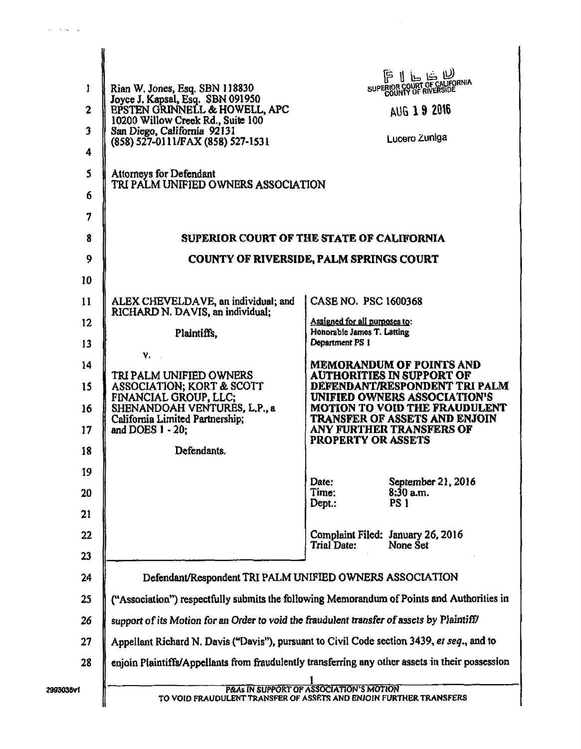| 1<br>$\overline{2}$<br>$\mathbf{3}$<br>4 | Rian W. Jones, Esq. SBN 118830<br>Joyce J. Kapsal, Esq. SBN 091950<br>EPSTEN GRINNELL & HOWELL, APC<br>10200 Willow Creek Rd., Suite 100<br>San Diego, California 92131<br>(858) 527-0111/FAX (858) 527-1531 |                                                             | 1 كا خا طا 1<br>SUPERIOR COURT OF CALIFORNIA<br>AUG 19 2016<br>Lucero Zuniga                  |
|------------------------------------------|--------------------------------------------------------------------------------------------------------------------------------------------------------------------------------------------------------------|-------------------------------------------------------------|-----------------------------------------------------------------------------------------------|
| 5                                        | <b>Attorneys for Defendant</b><br>TRI PALM UNIFIED OWNERS ASSOCIATION                                                                                                                                        |                                                             |                                                                                               |
| 6                                        |                                                                                                                                                                                                              |                                                             |                                                                                               |
| 7                                        |                                                                                                                                                                                                              |                                                             |                                                                                               |
| 8                                        | SUPERIOR COURT OF THE STATE OF CALIFORNIA                                                                                                                                                                    |                                                             |                                                                                               |
| 9                                        | <b>COUNTY OF RIVERSIDE, PALM SPRINGS COURT</b>                                                                                                                                                               |                                                             |                                                                                               |
| 10                                       |                                                                                                                                                                                                              |                                                             |                                                                                               |
| 11                                       | ALEX CHEVELDAVE, an individual; and<br>RICHARD N. DAVIS, an individual;                                                                                                                                      | CASE NO. PSC 1600368                                        |                                                                                               |
| $12 \,$                                  | Plaintiffs,                                                                                                                                                                                                  | Assigned for all purposes to:<br>Honorable James T. Latting |                                                                                               |
| 13                                       | Y.                                                                                                                                                                                                           | Department PS 1                                             |                                                                                               |
| 14<br>15                                 | TRI PALM UNIFIED OWNERS                                                                                                                                                                                      |                                                             | <b>MEMORANDUM OF POINTS AND</b><br>AUTHORITIES IN SUPPORT OF<br>DEFENDANT/RESPONDENT TRI PALM |
|                                          | ASSOCIATION; KORT & SCOTT<br>FINANCIAL GROUP, LLC;                                                                                                                                                           |                                                             | UNIFIED OWNERS ASSOCIATION'S<br><b>MOTION TO VOID THE FRAUDULENT</b>                          |
| 16<br>17                                 | SHENANDOAH VENTURES, L.P., a<br>California Limited Partnership;<br>and DOES $1 - 20$ ;                                                                                                                       |                                                             | TRANSFER OF ASSETS AND ENJOIN<br>ANY FURTHER TRANSFERS OF                                     |
| 18                                       | Defendants.                                                                                                                                                                                                  | <b>PROPERTY OR ASSETS</b>                                   |                                                                                               |
| 19                                       |                                                                                                                                                                                                              | Date:                                                       | September 21, 2016                                                                            |
| 20                                       |                                                                                                                                                                                                              | Time:<br>Depth:                                             | $8:30$ a.m.<br><b>PS 1</b>                                                                    |
| 21                                       |                                                                                                                                                                                                              |                                                             |                                                                                               |
| 22                                       |                                                                                                                                                                                                              | Trial Date:                                                 | Complaint Filed: January 26, 2016<br>None Set                                                 |
| 23                                       |                                                                                                                                                                                                              |                                                             |                                                                                               |
| 24                                       | Defendant/Respondent TRI PALM UNIFIED OWNERS ASSOCIATION                                                                                                                                                     |                                                             |                                                                                               |
| 25                                       | ("Association") respectfully submits the following Memorandum of Points and Authorities in                                                                                                                   |                                                             |                                                                                               |
| 26                                       | support of its Motion for an Order to void the fraudulent transfer of assets by Plaintiff/                                                                                                                   |                                                             |                                                                                               |
| 27                                       | Appellant Richard N. Davis ("Davis"), pursuant to Civil Code section 3439, et seq., and to                                                                                                                   |                                                             |                                                                                               |
| 28                                       | enjoin Plaintiffs/Appellants from fraudulently transferring any other assets in their possession                                                                                                             |                                                             |                                                                                               |
| 2993035v1                                | P&As IN SUPPORT OF ASSOCIATION'S MOTION<br>TO VOID FRAUDULENT TRANSFER OF ASSETS AND ENJOIN FURTHER TRANSFERS                                                                                                |                                                             |                                                                                               |

 $\omega = \omega$  ,  $\omega = \omega$